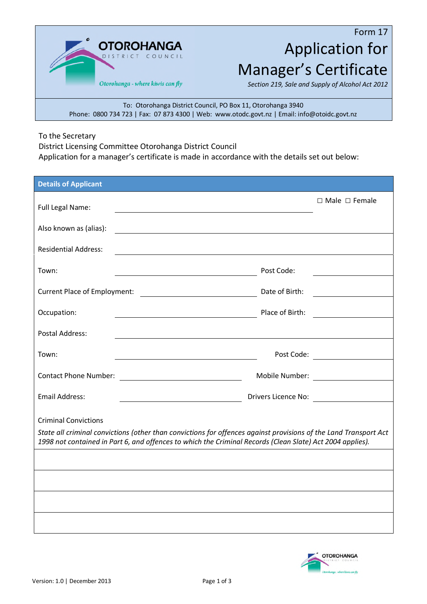**OTOROHANGA** COUNCIL Otorohanga - where kiwis can fly

## Form 17 Application for Manager's Certificate

*Section 219, Sale and Supply of Alcohol Act 2012*

To: Otorohanga District Council, PO Box 11, Otorohanga 3940 Phone: 0800 734 723 | Fax: 07 873 4300 | Web: www.otodc.govt.nz | Email: info@otoidc.govt.nz

To the Secretary

District Licensing Committee Otorohanga District Council Application for a manager's certificate is made in accordance with the details set out below:

| <b>Details of Applicant</b>                                                                                                                                                                                                                                  |                 |                                           |  |  |  |
|--------------------------------------------------------------------------------------------------------------------------------------------------------------------------------------------------------------------------------------------------------------|-----------------|-------------------------------------------|--|--|--|
| Full Legal Name:                                                                                                                                                                                                                                             |                 | $\Box$ Male $\Box$ Female                 |  |  |  |
|                                                                                                                                                                                                                                                              |                 |                                           |  |  |  |
| Also known as (alias):<br><u> 1989 - Johann Stein, fransk politik (d. 1989)</u>                                                                                                                                                                              |                 |                                           |  |  |  |
| <b>Residential Address:</b>                                                                                                                                                                                                                                  |                 |                                           |  |  |  |
| Town:                                                                                                                                                                                                                                                        | Post Code:      |                                           |  |  |  |
| <b>Current Place of Employment:</b><br><u> 1989 - Johann Barn, mars eta bainar e</u>                                                                                                                                                                         | Date of Birth:  |                                           |  |  |  |
| Occupation:                                                                                                                                                                                                                                                  | Place of Birth: |                                           |  |  |  |
| <b>Postal Address:</b>                                                                                                                                                                                                                                       |                 |                                           |  |  |  |
| Town:                                                                                                                                                                                                                                                        |                 | Post Code: <u>_______________________</u> |  |  |  |
| <b>Contact Phone Number:</b><br><u> 1980 - Johann Barn, mars an t-Amerikaansk ferske kommunister (</u>                                                                                                                                                       |                 | Mobile Number: <u>________________</u>    |  |  |  |
| <b>Email Address:</b>                                                                                                                                                                                                                                        |                 | Drivers Licence No:                       |  |  |  |
| <b>Criminal Convictions</b><br>State all criminal convictions (other than convictions for offences against provisions of the Land Transport Act<br>1998 not contained in Part 6, and offences to which the Criminal Records (Clean Slate) Act 2004 applies). |                 |                                           |  |  |  |
|                                                                                                                                                                                                                                                              |                 |                                           |  |  |  |
|                                                                                                                                                                                                                                                              |                 |                                           |  |  |  |
|                                                                                                                                                                                                                                                              |                 |                                           |  |  |  |

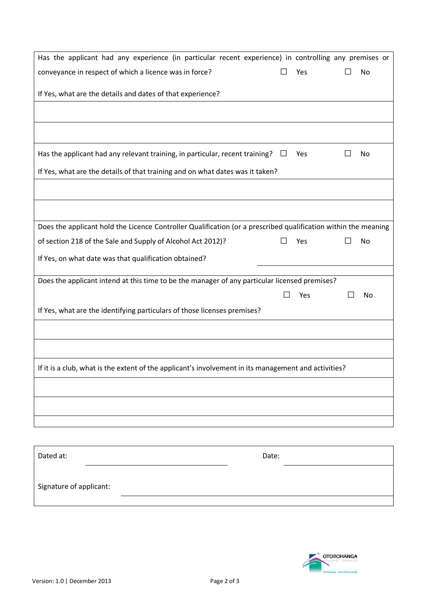| Has the applicant had any experience (in particular recent experience) in controlling any premises or          |    |     |         |    |  |
|----------------------------------------------------------------------------------------------------------------|----|-----|---------|----|--|
| conveyance in respect of which a licence was in force?                                                         |    | Yes |         | No |  |
| If Yes, what are the details and dates of that experience?                                                     |    |     |         |    |  |
|                                                                                                                |    |     |         |    |  |
| Has the applicant had any relevant training, in particular, recent training?                                   | ⊔  | Yes |         | No |  |
| If Yes, what are the details of that training and on what dates was it taken?                                  |    |     |         |    |  |
|                                                                                                                |    |     |         |    |  |
| Does the applicant hold the Licence Controller Qualification (or a prescribed qualification within the meaning |    |     |         |    |  |
| of section 218 of the Sale and Supply of Alcohol Act 2012)?                                                    |    | Yes | $\perp$ | No |  |
| If Yes, on what date was that qualification obtained?                                                          |    |     |         |    |  |
| Does the applicant intend at this time to be the manager of any particular licensed premises?                  |    |     |         |    |  |
|                                                                                                                | ΙI | Yes |         | No |  |
| If Yes, what are the identifying particulars of those licenses premises?                                       |    |     |         |    |  |
|                                                                                                                |    |     |         |    |  |
|                                                                                                                |    |     |         |    |  |
| If it is a club, what is the extent of the applicant's involvement in its management and activities?           |    |     |         |    |  |
|                                                                                                                |    |     |         |    |  |
|                                                                                                                |    |     |         |    |  |
|                                                                                                                |    |     |         |    |  |
| Dated at:<br>Date:                                                                                             |    |     |         |    |  |
| Signature of applicant:                                                                                        |    |     |         |    |  |